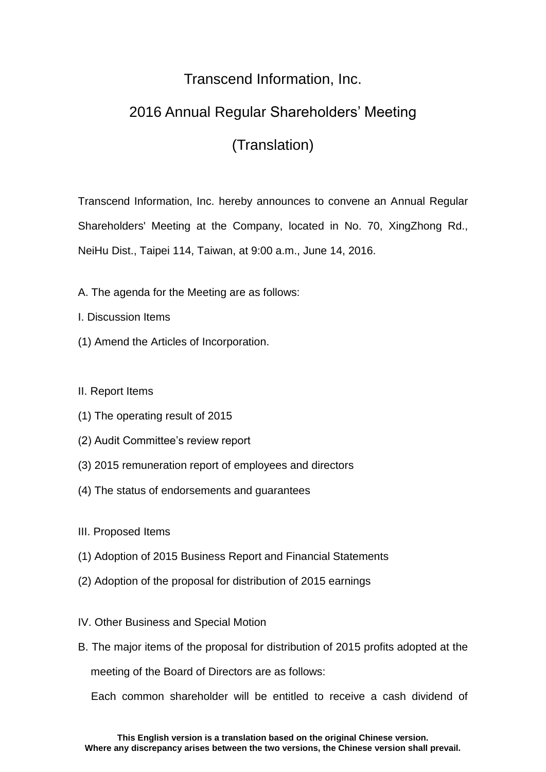## Transcend Information, Inc.

## 2016 Annual Regular Shareholders' Meeting

## (Translation)

Transcend Information, Inc. hereby announces to convene an Annual Regular Shareholders' Meeting at the Company, located in No. 70, XingZhong Rd., NeiHu Dist., Taipei 114, Taiwan, at 9:00 a.m., June 14, 2016.

- A. The agenda for the Meeting are as follows:
- I. Discussion Items
- (1) Amend the Articles of Incorporation.

II. Report Items

- (1) The operating result of 2015
- (2) Audit Committee's review report
- (3) 2015 remuneration report of employees and directors
- (4) The status of endorsements and guarantees
- III. Proposed Items
- (1) Adoption of 2015 Business Report and Financial Statements
- (2) Adoption of the proposal for distribution of 2015 earnings
- IV. Other Business and Special Motion
- B. The major items of the proposal for distribution of 2015 profits adopted at the meeting of the Board of Directors are as follows:

Each common shareholder will be entitled to receive a cash dividend of